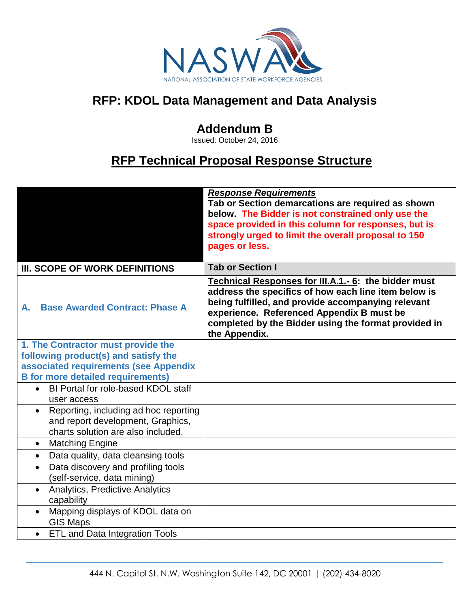

## **RFP: KDOL Data Management and Data Analysis**

## **Addendum B**

Issued: October 24, 2016

## **RFP Technical Proposal Response Structure**

|                                                                                                                               | <b>Response Requirements</b><br>Tab or Section demarcations are required as shown<br>below. The Bidder is not constrained only use the<br>space provided in this column for responses, but is<br>strongly urged to limit the overall proposal to 150<br>pages or less.                   |
|-------------------------------------------------------------------------------------------------------------------------------|------------------------------------------------------------------------------------------------------------------------------------------------------------------------------------------------------------------------------------------------------------------------------------------|
| III. SCOPE OF WORK DEFINITIONS                                                                                                | <b>Tab or Section I</b>                                                                                                                                                                                                                                                                  |
| <b>Base Awarded Contract: Phase A</b><br>А.                                                                                   | Technical Responses for III.A.1.- 6: the bidder must<br>address the specifics of how each line item below is<br>being fulfilled, and provide accompanying relevant<br>experience. Referenced Appendix B must be<br>completed by the Bidder using the format provided in<br>the Appendix. |
| 1. The Contractor must provide the                                                                                            |                                                                                                                                                                                                                                                                                          |
| following product(s) and satisfy the                                                                                          |                                                                                                                                                                                                                                                                                          |
| associated requirements (see Appendix<br><b>B</b> for more detailed requirements)                                             |                                                                                                                                                                                                                                                                                          |
| BI Portal for role-based KDOL staff<br>$\bullet$<br>user access                                                               |                                                                                                                                                                                                                                                                                          |
| Reporting, including ad hoc reporting<br>$\bullet$<br>and report development, Graphics,<br>charts solution are also included. |                                                                                                                                                                                                                                                                                          |
| <b>Matching Engine</b><br>$\bullet$                                                                                           |                                                                                                                                                                                                                                                                                          |
| Data quality, data cleansing tools<br>$\bullet$                                                                               |                                                                                                                                                                                                                                                                                          |
| Data discovery and profiling tools<br>$\bullet$<br>(self-service, data mining)                                                |                                                                                                                                                                                                                                                                                          |
| <b>Analytics, Predictive Analytics</b><br>capability                                                                          |                                                                                                                                                                                                                                                                                          |
| Mapping displays of KDOL data on<br>$\bullet$<br><b>GIS Maps</b>                                                              |                                                                                                                                                                                                                                                                                          |
| <b>ETL and Data Integration Tools</b><br>$\bullet$                                                                            |                                                                                                                                                                                                                                                                                          |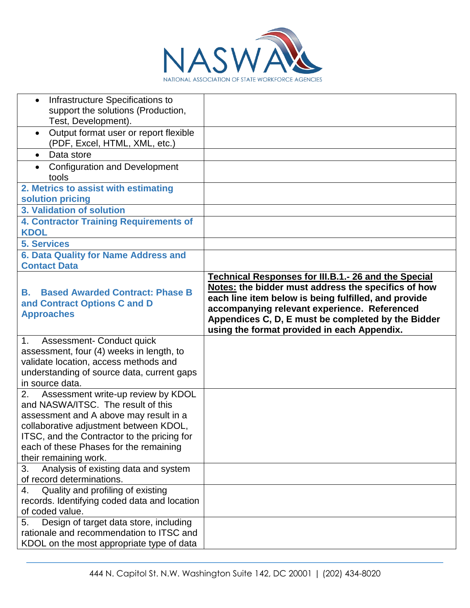

| Infrastructure Specifications to<br>support the solutions (Production,<br>Test, Development).                                                                                                                                                                                        |                                                                                                                                                                                                                                                                                                                                 |
|--------------------------------------------------------------------------------------------------------------------------------------------------------------------------------------------------------------------------------------------------------------------------------------|---------------------------------------------------------------------------------------------------------------------------------------------------------------------------------------------------------------------------------------------------------------------------------------------------------------------------------|
| Output format user or report flexible<br>$\bullet$<br>(PDF, Excel, HTML, XML, etc.)                                                                                                                                                                                                  |                                                                                                                                                                                                                                                                                                                                 |
| Data store<br>$\bullet$                                                                                                                                                                                                                                                              |                                                                                                                                                                                                                                                                                                                                 |
| <b>Configuration and Development</b><br>tools                                                                                                                                                                                                                                        |                                                                                                                                                                                                                                                                                                                                 |
| 2. Metrics to assist with estimating<br>solution pricing                                                                                                                                                                                                                             |                                                                                                                                                                                                                                                                                                                                 |
| 3. Validation of solution                                                                                                                                                                                                                                                            |                                                                                                                                                                                                                                                                                                                                 |
| <b>4. Contractor Training Requirements of</b><br><b>KDOL</b>                                                                                                                                                                                                                         |                                                                                                                                                                                                                                                                                                                                 |
| <b>5. Services</b>                                                                                                                                                                                                                                                                   |                                                                                                                                                                                                                                                                                                                                 |
| 6. Data Quality for Name Address and<br><b>Contact Data</b>                                                                                                                                                                                                                          |                                                                                                                                                                                                                                                                                                                                 |
| <b>Based Awarded Contract: Phase B</b><br>В.<br>and Contract Options C and D<br><b>Approaches</b>                                                                                                                                                                                    | <b>Technical Responses for III.B.1.- 26 and the Special</b><br>Notes: the bidder must address the specifics of how<br>each line item below is being fulfilled, and provide<br>accompanying relevant experience. Referenced<br>Appendices C, D, E must be completed by the Bidder<br>using the format provided in each Appendix. |
| Assessment- Conduct quick<br>1.<br>assessment, four (4) weeks in length, to<br>validate location, access methods and<br>understanding of source data, current gaps<br>in source data.                                                                                                |                                                                                                                                                                                                                                                                                                                                 |
| Assessment write-up review by KDOL<br>2.<br>and NASWA/ITSC. The result of this<br>assessment and A above may result in a<br>collaborative adjustment between KDOL,<br>ITSC, and the Contractor to the pricing for<br>each of these Phases for the remaining<br>their remaining work. |                                                                                                                                                                                                                                                                                                                                 |
| 3.<br>Analysis of existing data and system<br>of record determinations.                                                                                                                                                                                                              |                                                                                                                                                                                                                                                                                                                                 |
| Quality and profiling of existing<br>4.<br>records. Identifying coded data and location<br>of coded value.                                                                                                                                                                           |                                                                                                                                                                                                                                                                                                                                 |
| Design of target data store, including<br>5.<br>rationale and recommendation to ITSC and<br>KDOL on the most appropriate type of data                                                                                                                                                |                                                                                                                                                                                                                                                                                                                                 |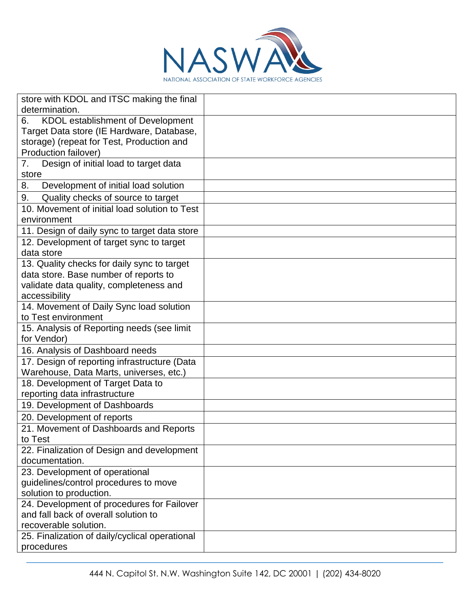

| store with KDOL and ITSC making the final                 |  |
|-----------------------------------------------------------|--|
| determination.                                            |  |
| <b>KDOL</b> establishment of Development<br>6.            |  |
| Target Data store (IE Hardware, Database,                 |  |
| storage) (repeat for Test, Production and                 |  |
| Production failover)                                      |  |
| Design of initial load to target data<br>7.               |  |
| store                                                     |  |
| Development of initial load solution<br>8.                |  |
| Quality checks of source to target<br>9.                  |  |
| 10. Movement of initial load solution to Test             |  |
| environment                                               |  |
| 11. Design of daily sync to target data store             |  |
| 12. Development of target sync to target                  |  |
| data store                                                |  |
| 13. Quality checks for daily sync to target               |  |
| data store. Base number of reports to                     |  |
| validate data quality, completeness and                   |  |
| accessibility                                             |  |
| 14. Movement of Daily Sync load solution                  |  |
| to Test environment                                       |  |
| 15. Analysis of Reporting needs (see limit<br>for Vendor) |  |
| 16. Analysis of Dashboard needs                           |  |
| 17. Design of reporting infrastructure (Data              |  |
| Warehouse, Data Marts, universes, etc.)                   |  |
| 18. Development of Target Data to                         |  |
| reporting data infrastructure                             |  |
| 19. Development of Dashboards                             |  |
| 20. Development of reports                                |  |
| 21. Movement of Dashboards and Reports                    |  |
| to lest                                                   |  |
| 22. Finalization of Design and development                |  |
| documentation.                                            |  |
| 23. Development of operational                            |  |
| guidelines/control procedures to move                     |  |
| solution to production.                                   |  |
| 24. Development of procedures for Failover                |  |
| and fall back of overall solution to                      |  |
| recoverable solution.                                     |  |
| 25. Finalization of daily/cyclical operational            |  |
| procedures                                                |  |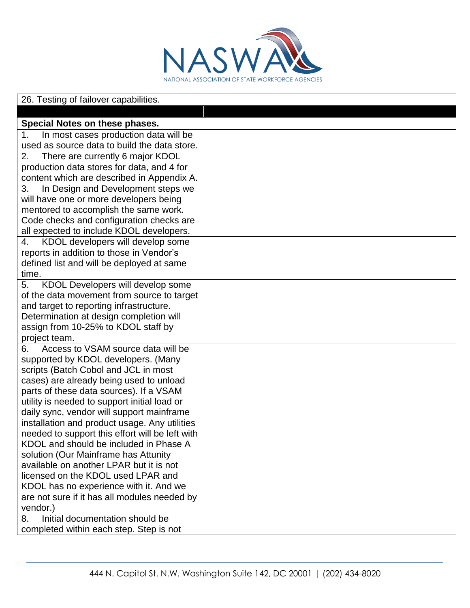

| 26. Testing of failover capabilities.                                               |  |
|-------------------------------------------------------------------------------------|--|
|                                                                                     |  |
| Special Notes on these phases.                                                      |  |
| In most cases production data will be<br>1.                                         |  |
| used as source data to build the data store.                                        |  |
| There are currently 6 major KDOL<br>2.                                              |  |
| production data stores for data, and 4 for                                          |  |
| content which are described in Appendix A.                                          |  |
| In Design and Development steps we<br>3.                                            |  |
| will have one or more developers being                                              |  |
| mentored to accomplish the same work.                                               |  |
| Code checks and configuration checks are                                            |  |
| all expected to include KDOL developers.                                            |  |
| KDOL developers will develop some<br>4.<br>reports in addition to those in Vendor's |  |
| defined list and will be deployed at same                                           |  |
| time.                                                                               |  |
| KDOL Developers will develop some<br>5.                                             |  |
| of the data movement from source to target                                          |  |
| and target to reporting infrastructure.                                             |  |
| Determination at design completion will                                             |  |
| assign from 10-25% to KDOL staff by                                                 |  |
| project team.                                                                       |  |
| Access to VSAM source data will be<br>6.                                            |  |
| supported by KDOL developers. (Many                                                 |  |
| scripts (Batch Cobol and JCL in most                                                |  |
| cases) are already being used to unload                                             |  |
| parts of these data sources). If a VSAM                                             |  |
| utility is needed to support initial load or                                        |  |
| daily sync, vendor will support mainframe                                           |  |
| installation and product usage. Any utilities                                       |  |
| needed to support this effort will be left with                                     |  |
| KDOL and should be included in Phase A                                              |  |
| solution (Our Mainframe has Attunity<br>available on another LPAR but it is not     |  |
| licensed on the KDOL used LPAR and                                                  |  |
| KDOL has no experience with it. And we                                              |  |
| are not sure if it has all modules needed by                                        |  |
| vendor.)                                                                            |  |
| Initial documentation should be<br>8.                                               |  |
| completed within each step. Step is not                                             |  |
|                                                                                     |  |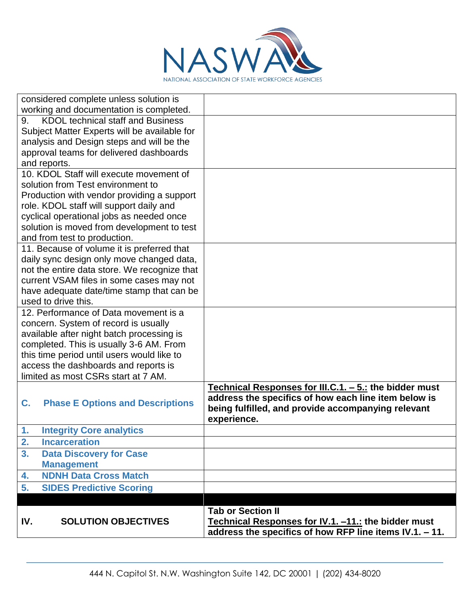

| considered complete unless solution is                        |                                                         |
|---------------------------------------------------------------|---------------------------------------------------------|
| working and documentation is completed.                       |                                                         |
| <b>KDOL technical staff and Business</b><br>9.                |                                                         |
| Subject Matter Experts will be available for                  |                                                         |
| analysis and Design steps and will be the                     |                                                         |
| approval teams for delivered dashboards                       |                                                         |
| and reports.                                                  |                                                         |
| 10. KDOL Staff will execute movement of                       |                                                         |
| solution from Test environment to                             |                                                         |
| Production with vendor providing a support                    |                                                         |
| role. KDOL staff will support daily and                       |                                                         |
| cyclical operational jobs as needed once                      |                                                         |
| solution is moved from development to test                    |                                                         |
| and from test to production.                                  |                                                         |
| 11. Because of volume it is preferred that                    |                                                         |
| daily sync design only move changed data,                     |                                                         |
| not the entire data store. We recognize that                  |                                                         |
| current VSAM files in some cases may not                      |                                                         |
| have adequate date/time stamp that can be                     |                                                         |
| used to drive this.                                           |                                                         |
| 12. Performance of Data movement is a                         |                                                         |
| concern. System of record is usually                          |                                                         |
| available after night batch processing is                     |                                                         |
| completed. This is usually 3-6 AM. From                       |                                                         |
| this time period until users would like to                    |                                                         |
| access the dashboards and reports is                          |                                                         |
| limited as most CSRs start at 7 AM.                           |                                                         |
|                                                               | Technical Responses for III.C.1. - 5.: the bidder must  |
| <b>Phase E Options and Descriptions</b><br>C.                 | address the specifics of how each line item below is    |
|                                                               | being fulfilled, and provide accompanying relevant      |
| 1.                                                            | experience.                                             |
| <b>Integrity Core analytics</b><br>2.<br><b>Incarceration</b> |                                                         |
| 3.                                                            |                                                         |
| <b>Data Discovery for Case</b><br><b>Management</b>           |                                                         |
|                                                               |                                                         |
| <b>NDNH Data Cross Match</b><br>4.                            |                                                         |
| 5.<br><b>SIDES Predictive Scoring</b>                         |                                                         |
|                                                               |                                                         |
|                                                               | <b>Tab or Section II</b>                                |
| <b>SOLUTION OBJECTIVES</b><br>IV.                             | Technical Responses for IV.1. -11.: the bidder must     |
|                                                               | address the specifics of how RFP line items IV.1. - 11. |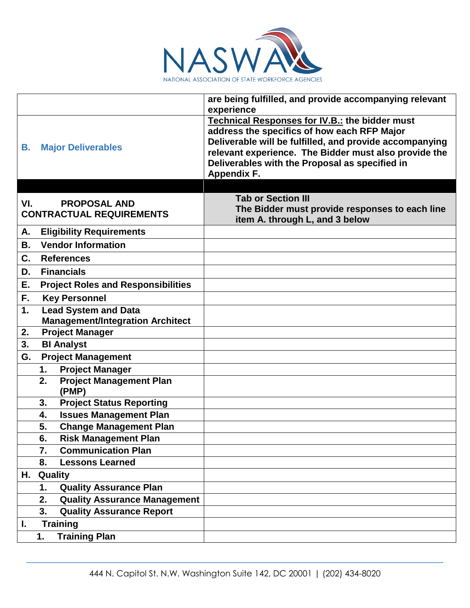

|                                                                      | are being fulfilled, and provide accompanying relevant<br>experience                                                                                                                                                                                                                      |
|----------------------------------------------------------------------|-------------------------------------------------------------------------------------------------------------------------------------------------------------------------------------------------------------------------------------------------------------------------------------------|
| <b>Major Deliverables</b><br>В.                                      | Technical Responses for IV.B.: the bidder must<br>address the specifics of how each RFP Major<br>Deliverable will be fulfilled, and provide accompanying<br>relevant experience. The Bidder must also provide the<br>Deliverables with the Proposal as specified in<br><b>Appendix F.</b> |
|                                                                      |                                                                                                                                                                                                                                                                                           |
| VI.<br><b>PROPOSAL AND</b><br><b>CONTRACTUAL REQUIREMENTS</b>        | <b>Tab or Section III</b><br>The Bidder must provide responses to each line<br>item A. through L, and 3 below                                                                                                                                                                             |
| <b>Eligibility Requirements</b><br>А.                                |                                                                                                                                                                                                                                                                                           |
| <b>Vendor Information</b><br>В.                                      |                                                                                                                                                                                                                                                                                           |
| C.<br><b>References</b>                                              |                                                                                                                                                                                                                                                                                           |
| <b>Financials</b><br>D.                                              |                                                                                                                                                                                                                                                                                           |
| Е.<br><b>Project Roles and Responsibilities</b>                      |                                                                                                                                                                                                                                                                                           |
| <b>Key Personnel</b><br>F.                                           |                                                                                                                                                                                                                                                                                           |
| <b>Lead System and Data</b><br>1.                                    |                                                                                                                                                                                                                                                                                           |
| <b>Management/Integration Architect</b>                              |                                                                                                                                                                                                                                                                                           |
| <b>Project Manager</b><br>2.<br>3.<br><b>BI Analyst</b>              |                                                                                                                                                                                                                                                                                           |
| G.                                                                   |                                                                                                                                                                                                                                                                                           |
| <b>Project Management</b>                                            |                                                                                                                                                                                                                                                                                           |
| <b>Project Manager</b><br>1.<br><b>Project Management Plan</b><br>2. |                                                                                                                                                                                                                                                                                           |
| (PMP)                                                                |                                                                                                                                                                                                                                                                                           |
| <b>Project Status Reporting</b><br>3.                                |                                                                                                                                                                                                                                                                                           |
| <b>Issues Management Plan</b><br>4.                                  |                                                                                                                                                                                                                                                                                           |
| 5.<br><b>Change Management Plan</b>                                  |                                                                                                                                                                                                                                                                                           |
| 6.<br><b>Risk Management Plan</b>                                    |                                                                                                                                                                                                                                                                                           |
| <b>Communication Plan</b><br>7.                                      |                                                                                                                                                                                                                                                                                           |
| <b>Lessons Learned</b><br>8.                                         |                                                                                                                                                                                                                                                                                           |
| H.<br>Quality                                                        |                                                                                                                                                                                                                                                                                           |
| <b>Quality Assurance Plan</b><br>1.                                  |                                                                                                                                                                                                                                                                                           |
| 2.<br><b>Quality Assurance Management</b>                            |                                                                                                                                                                                                                                                                                           |
| <b>Quality Assurance Report</b><br>3.                                |                                                                                                                                                                                                                                                                                           |
| <b>Training</b><br>L.                                                |                                                                                                                                                                                                                                                                                           |
| <b>Training Plan</b><br>1.                                           |                                                                                                                                                                                                                                                                                           |